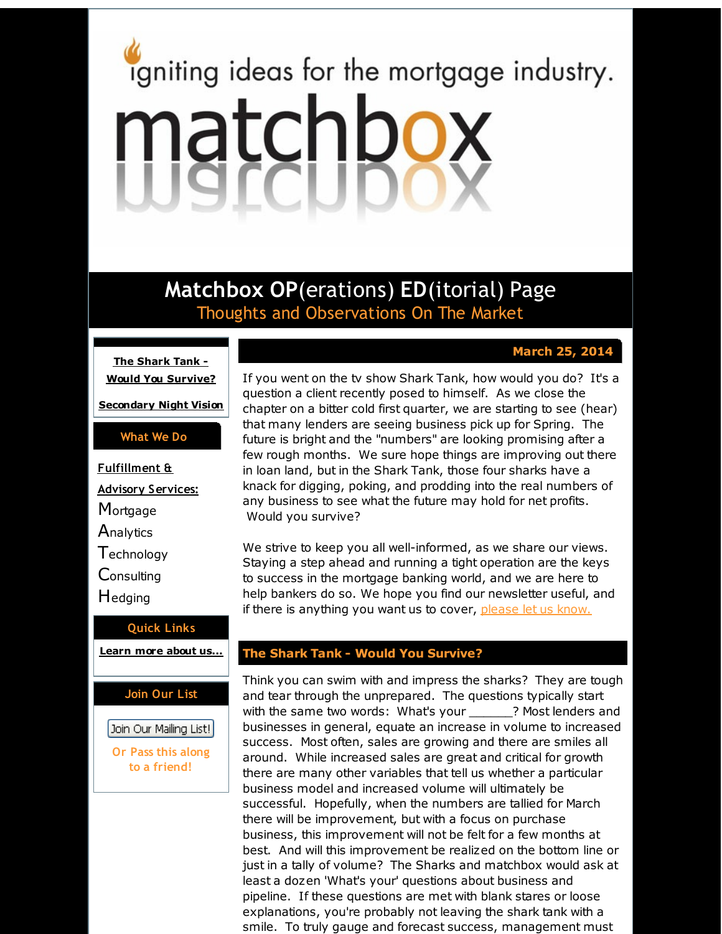# <span id="page-0-0"></span>igniting ideas for the mortgage industry. matchbox

**Matchbox OP**(erations) **ED**(itorial) Page Thoughts and Observations On The Market

# **March 25, 2014**

**The Shark Tank - Would You [Survive?](#page-0-0)**

**[Secondary](#page-0-0) Night Vision**

### **What We Do**

**Fulfillment & Advisory Services: Mortgage Analytics Technology Consulting H**edging

# **Quick Links**

**[Learn](http://r20.rs6.net/tn.jsp?f=001imQZZb3S--2IA7Sx-9nstQO3AcNomgkE1C2Shd8ZzcNPOVyHBTtU_YmkczS-1Y5OEJefTh4J_XqF5JvlP-7sIUQAfnjrUjgxwAk0FEbskzllCtpQNDgPfRN9xxzypBRxp6D7EGbk09bGMFoCuIZU7cPZfV64h7vG5-te-oJbCb_bM1Cj0oFp7A==&c=&ch=) more about u[s...](http://r20.rs6.net/tn.jsp?f=001imQZZb3S--2IA7Sx-9nstQO3AcNomgkE1C2Shd8ZzcNPOVyHBTtU_YmkczS-1Y5OEJefTh4J_XqF5JvlP-7sIUQAfnjrUjgxwAk0FEbskzllCtpQNDgPfRN9xxzypBRxp6D7EGbk09bGMFoCuIZU7cPZfV64h7vG5-te-oJbCb_bM1Cj0oFp7A==&c=&ch=)**

## **Join Our List**

Join Our Mailing List!

### **Or Pass this along to a friend!**

If you went on the tv show Shark Tank, how would you do? It's a question a client recently posed to himself. As we close the chapter on a bitter cold first quarter, we are starting to see (hear) that many lenders are seeing business pick up for Spring. The future is bright and the "numbers" are looking promising after a few rough months. We sure hope things are improving out there in loan land, but in the Shark Tank, those four sharks have a knack for digging, poking, and prodding into the real numbers of any business to see what the future may hold for net profits. Would you survive?

We strive to keep you all well-informed, as we share our views. Staying a step ahead and running a tight operation are the keys to success in the mortgage banking world, and we are here to help bankers do so. We hope you find our newsletter useful, and if there is anything you want us to cover, [please](http://r20.rs6.net/tn.jsp?f=001imQZZb3S--2IA7Sx-9nstQO3AcNomgkE1C2Shd8ZzcNPOVyHBTtU_U9oPqfiTCWUq-aUBvcumurkB_vUkpQ6qGbm6wgpDv7R90M-PikEmt6SRibGrG4AG7HIqi58yQT-pB6VNgy5JvRueyvfUTK0fbPYDydITmpj0oC023xrsZS9_wdBW1D8FCcyhngfckST&c=&ch=) let us know.

### **The Shark Tank - Would You Survive?**

Think you can swim with and impress the sharks? They are tough and tear through the unprepared. The questions typically start with the same two words: What's your \_\_\_\_\_\_? Most lenders and businesses in general, equate an increase in volume to increased success. Most often, sales are growing and there are smiles all around. While increased sales are great and critical for growth there are many other variables that tell us whether a particular business model and increased volume will ultimately be successful. Hopefully, when the numbers are tallied for March there will be improvement, but with a focus on purchase business, this improvement will not be felt for a few months at best. And will this improvement be realized on the bottom line or just in a tally of volume? The Sharks and matchbox would ask at least a dozen 'What's your' questions about business and pipeline. If these questions are met with blank stares or loose explanations, you're probably not leaving the shark tank with a smile. To truly gauge and forecast success, management must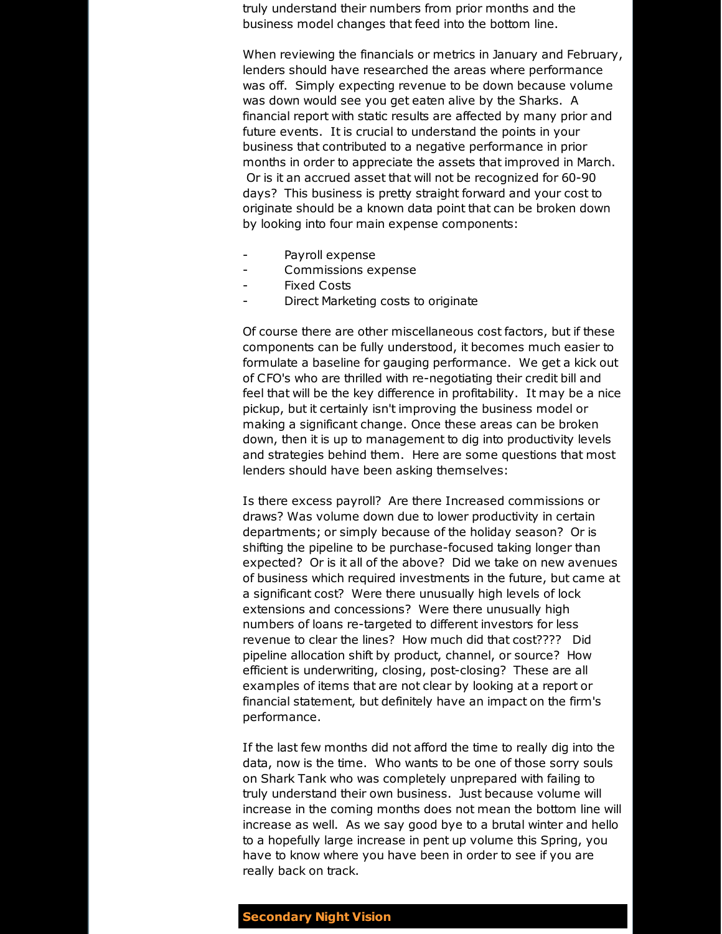truly understand their numbers from prior months and the business model changes that feed into the bottom line.

When reviewing the financials or metrics in January and February, lenders should have researched the areas where performance was off. Simply expecting revenue to be down because volume was down would see you get eaten alive by the Sharks. A financial report with static results are affected by many prior and future events. It is crucial to understand the points in your business that contributed to a negative performance in prior months in order to appreciate the assets that improved in March. Or is it an accrued asset that will not be recognized for 60-90 days? This business is pretty straight forward and your cost to originate should be a known data point that can be broken down by looking into four main expense components:

- Payroll expense
- Commissions expense
- **Fixed Costs**
- Direct Marketing costs to originate

Of course there are other miscellaneous cost factors, but if these components can be fully understood, it becomes much easier to formulate a baseline for gauging performance. We get a kick out of CFO's who are thrilled with re-negotiating their credit bill and feel that will be the key difference in profitability. It may be a nice pickup, but it certainly isn't improving the business model or making a significant change. Once these areas can be broken down, then it is up to management to dig into productivity levels and strategies behind them. Here are some questions that most lenders should have been asking themselves:

Is there excess payroll? Are there Increased commissions or draws? Was volume down due to lower productivity in certain departments; or simply because of the holiday season? Or is shifting the pipeline to be purchase-focused taking longer than expected? Or is it all of the above? Did we take on new avenues of business which required investments in the future, but came at a significant cost? Were there unusually high levels of lock extensions and concessions? Were there unusually high numbers of loans re-targeted to different investors for less revenue to clear the lines? How much did that cost???? Did pipeline allocation shift by product, channel, or source? How efficient is underwriting, closing, post-closing? These are all examples of items that are not clear by looking at a report or financial statement, but definitely have an impact on the firm's performance.

If the last few months did not afford the time to really dig into the data, now is the time. Who wants to be one of those sorry souls on Shark Tank who was completely unprepared with failing to truly understand their own business. Just because volume will increase in the coming months does not mean the bottom line will increase as well. As we say good bye to a brutal winter and hello to a hopefully large increase in pent up volume this Spring, you have to know where you have been in order to see if you are really back on track.

### **Secondary Night Vision**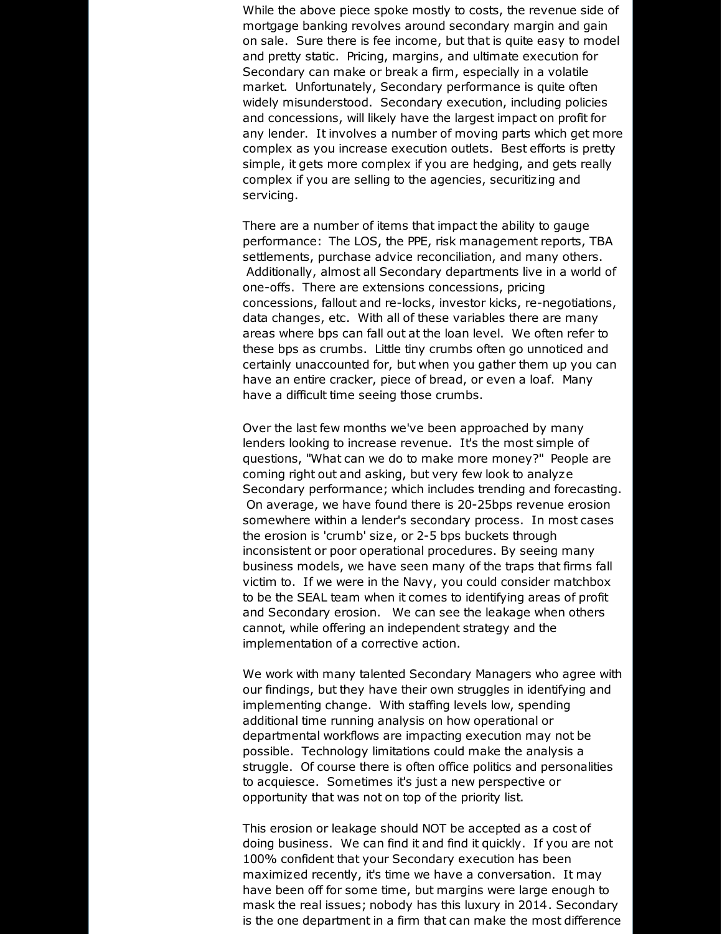While the above piece spoke mostly to costs, the revenue side of mortgage banking revolves around secondary margin and gain on sale. Sure there is fee income, but that is quite easy to model and pretty static. Pricing, margins, and ultimate execution for Secondary can make or break a firm, especially in a volatile market. Unfortunately, Secondary performance is quite often widely misunderstood. Secondary execution, including policies and concessions, will likely have the largest impact on profit for any lender. It involves a number of moving parts which get more complex as you increase execution outlets. Best efforts is pretty simple, it gets more complex if you are hedging, and gets really complex if you are selling to the agencies, securitizing and servicing.

There are a number of items that impact the ability to gauge performance: The LOS, the PPE, risk management reports, TBA settlements, purchase advice reconciliation, and many others. Additionally, almost all Secondary departments live in a world of one-offs. There are extensions concessions, pricing concessions, fallout and re-locks, investor kicks, re-negotiations, data changes, etc. With all of these variables there are many areas where bps can fall out at the loan level. We often refer to these bps as crumbs. Little tiny crumbs often go unnoticed and certainly unaccounted for, but when you gather them up you can have an entire cracker, piece of bread, or even a loaf. Many have a difficult time seeing those crumbs.

Over the last few months we've been approached by many lenders looking to increase revenue. It's the most simple of questions, "What can we do to make more money?" People are coming right out and asking, but very few look to analyze Secondary performance; which includes trending and forecasting. On average, we have found there is 20-25bps revenue erosion somewhere within a lender's secondary process. In most cases the erosion is 'crumb' size, or 2-5 bps buckets through inconsistent or poor operational procedures. By seeing many business models, we have seen many of the traps that firms fall victim to. If we were in the Navy, you could consider matchbox to be the SEAL team when it comes to identifying areas of profit and Secondary erosion. We can see the leakage when others cannot, while offering an independent strategy and the implementation of a corrective action.

We work with many talented Secondary Managers who agree with our findings, but they have their own struggles in identifying and implementing change. With staffing levels low, spending additional time running analysis on how operational or departmental workflows are impacting execution may not be possible. Technology limitations could make the analysis a struggle. Of course there is often office politics and personalities to acquiesce. Sometimes it's just a new perspective or opportunity that was not on top of the priority list.

This erosion or leakage should NOT be accepted as a cost of doing business. We can find it and find it quickly. If you are not 100% confident that your Secondary execution has been maximized recently, it's time we have a conversation. It may have been off for some time, but margins were large enough to mask the real issues; nobody has this luxury in 2014. Secondary is the one department in a firm that can make the most difference